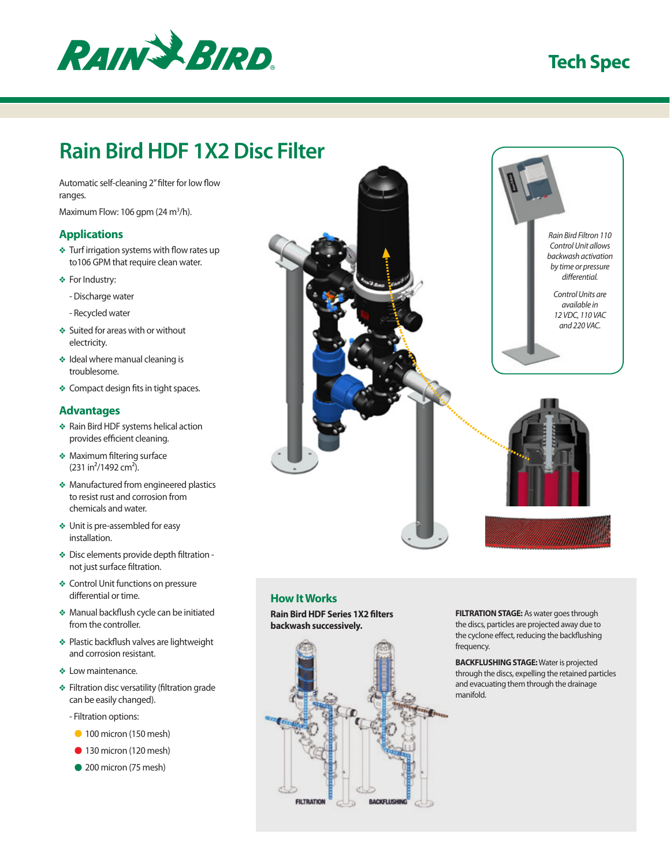

# **Tech Spec**

# **Rain Bird HDF 1X2 Disc Filter**

Automatic self-cleaning 2" filter for low flow ranges.

Maximum Flow: 106 gpm (24 m<sup>3</sup>/h).

#### **Applications**

- ❖ Turf irrigation systems with flow rates up to106 GPM that require clean water.
- ❖ For Industry:
	- Discharge water
	- Recycled water
- ❖ Suited for areas with or without electricity.
- ❖ Ideal where manual cleaning is troublesome.
- ❖ Compact design fits in tight spaces.

### **Advantages**

- ❖ Rain Bird HDF systems helical action provides efficient cleaning.
- ❖ Maximum filtering surface  $(231 in<sup>2</sup>/1492 cm<sup>2</sup>).$
- ❖ Manufactured from engineered plastics to resist rust and corrosion from chemicals and water.
- ❖ Unit is pre-assembled for easy installation.
- ❖ Disc elements provide depth filtration not just surface filtration.
- ❖ Control Unit functions on pressure differential or time.
- ❖ Manual backflush cycle can be initiated from the controller.
- ❖ Plastic backflush valves are lightweight and corrosion resistant.
- ❖ Low maintenance.
- ❖ Filtration disc versatility (filtration grade can be easily changed).
	- Filtration options:
	- 100 micron (150 mesh)
	- $\bullet$  130 micron (120 mesh)
	- 200 micron (75 mesh)



# **How It Works**

**Rain Bird HDF Series 1X2 filters backwash successively.**



**FILTRATION STAGE:** As water goes through the discs, particles are projected away due to the cyclone effect, reducing the backflushing frequency.

**BACKFLUSHING STAGE:** Water is projected through the discs, expelling the retained particles and evacuating them through the drainage manifold.